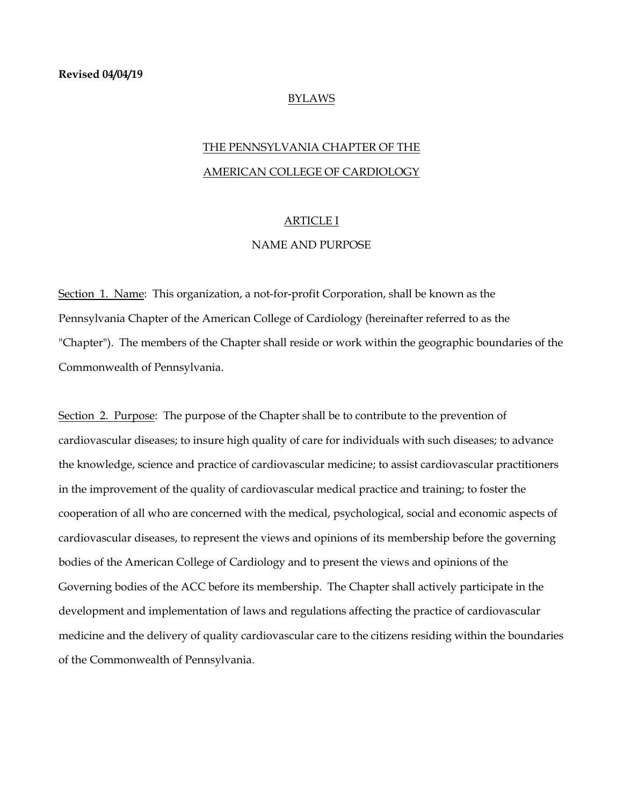### BYLAWS

# THE PENNSYLVANIA CHAPTER OF THE AMERICAN COLLEGE OF CARDIOLOGY

## ARTICLE I

## NAME AND PURPOSE

Section 1. Name: This organization, a not-for-profit Corporation, shall be known as the Pennsylvania Chapter of the American College of Cardiology (hereinafter referred to as the "Chapter"). The members of the Chapter shall reside or work within the geographic boundaries of the Commonwealth of Pennsylvania.

Section 2. Purpose: The purpose of the Chapter shall be to contribute to the prevention of cardiovascular diseases; to insure high quality of care for individuals with such diseases; to advance the knowledge, science and practice of cardiovascular medicine; to assist cardiovascular practitioners in the improvement of the quality of cardiovascular medical practice and training; to foster the cooperation of all who are concerned with the medical, psychological, social and economic aspects of cardiovascular diseases, to represent the views and opinions of its membership before the governing bodies of the American College of Cardiology and to present the views and opinions of the Governing bodies of the ACC before its membership. The Chapter shall actively participate in the development and implementation of laws and regulations affecting the practice of cardiovascular medicine and the delivery of quality cardiovascular care to the citizens residing within the boundaries of the Commonwealth of Pennsylvania.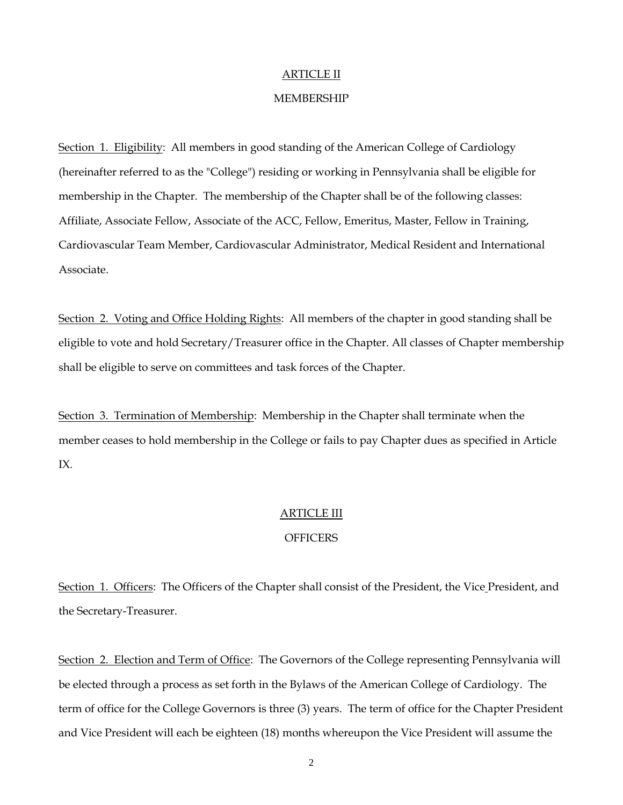## ARTICLE II

### MEMBERSHIP

Section 1. Eligibility: All members in good standing of the American College of Cardiology (hereinafter referred to as the "College") residing or working in Pennsylvania shall be eligible for membership in the Chapter. The membership of the Chapter shall be of the following classes: Affiliate, Associate Fellow, Associate of the ACC, Fellow, Emeritus, Master, Fellow in Training, Cardiovascular Team Member, Cardiovascular Administrator, Medical Resident and International Associate.

Section 2. Voting and Office Holding Rights: All members of the chapter in good standing shall be eligible to vote and hold Secretary/Treasurer office in the Chapter. All classes of Chapter membership shall be eligible to serve on committees and task forces of the Chapter.

Section 3. Termination of Membership: Membership in the Chapter shall terminate when the member ceases to hold membership in the College or fails to pay Chapter dues as specified in Article IX.

## ARTICLE III

## **OFFICERS**

Section 1. Officers: The Officers of the Chapter shall consist of the President, the Vice President, and the Secretary-Treasurer.

Section 2. Election and Term of Office: The Governors of the College representing Pennsylvania will be elected through a process as set forth in the Bylaws of the American College of Cardiology. The term of office for the College Governors is three (3) years. The term of office for the Chapter President and Vice President will each be eighteen (18) months whereupon the Vice President will assume the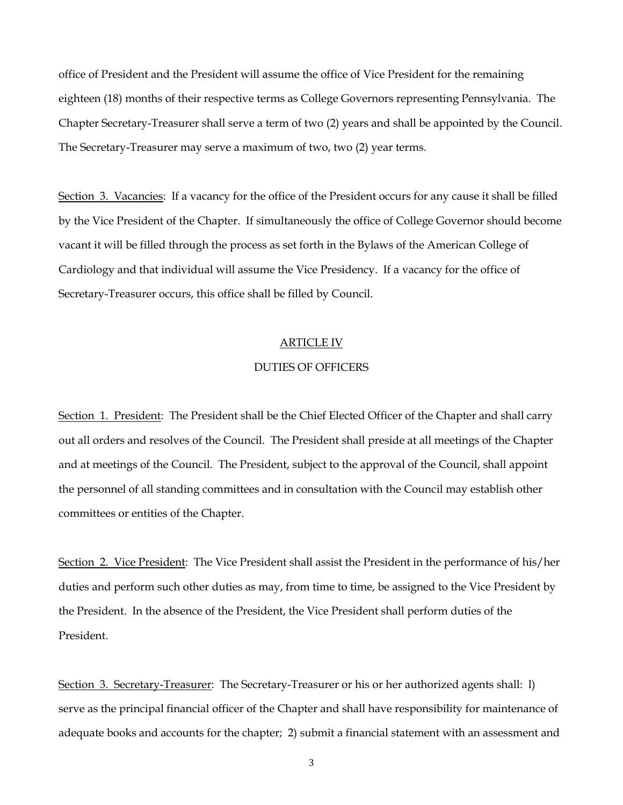office of President and the President will assume the office of Vice President for the remaining eighteen (18) months of their respective terms as College Governors representing Pennsylvania. The Chapter Secretary-Treasurer shall serve a term of two (2) years and shall be appointed by the Council. The Secretary-Treasurer may serve a maximum of two, two (2) year terms.

Section 3. Vacancies: If a vacancy for the office of the President occurs for any cause it shall be filled by the Vice President of the Chapter. If simultaneously the office of College Governor should become vacant it will be filled through the process as set forth in the Bylaws of the American College of Cardiology and that individual will assume the Vice Presidency. If a vacancy for the office of Secretary-Treasurer occurs, this office shall be filled by Council.

## ARTICLE IV

## DUTIES OF OFFICERS

Section 1. President: The President shall be the Chief Elected Officer of the Chapter and shall carry out all orders and resolves of the Council. The President shall preside at all meetings of the Chapter and at meetings of the Council. The President, subject to the approval of the Council, shall appoint the personnel of all standing committees and in consultation with the Council may establish other committees or entities of the Chapter.

Section 2. Vice President: The Vice President shall assist the President in the performance of his/her duties and perform such other duties as may, from time to time, be assigned to the Vice President by the President. In the absence of the President, the Vice President shall perform duties of the President.

Section 3. Secretary-Treasurer: The Secretary-Treasurer or his or her authorized agents shall: 1) serve as the principal financial officer of the Chapter and shall have responsibility for maintenance of adequate books and accounts for the chapter; 2) submit a financial statement with an assessment and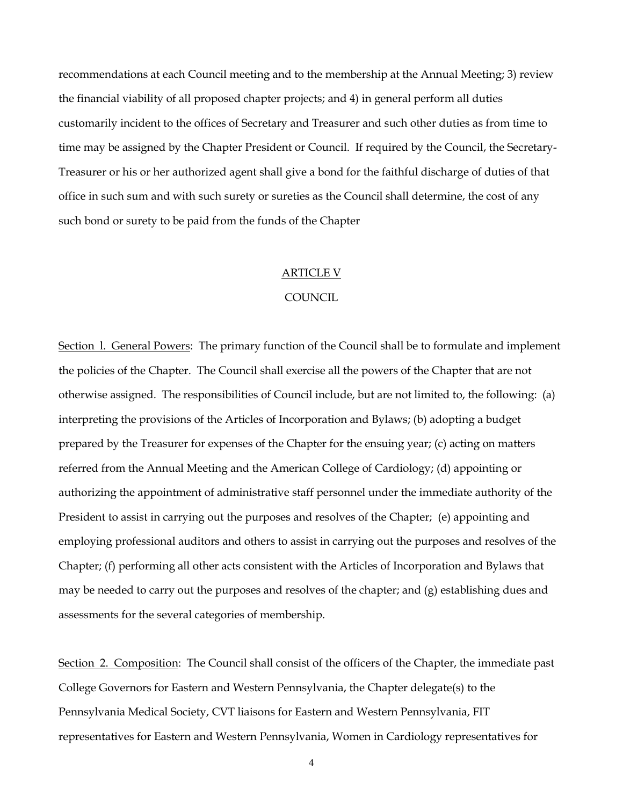recommendations at each Council meeting and to the membership at the Annual Meeting; 3) review the financial viability of all proposed chapter projects; and 4) in general perform all duties customarily incident to the offices of Secretary and Treasurer and such other duties as from time to time may be assigned by the Chapter President or Council. If required by the Council, the Secretary-Treasurer or his or her authorized agent shall give a bond for the faithful discharge of duties of that office in such sum and with such surety or sureties as the Council shall determine, the cost of any such bond or surety to be paid from the funds of the Chapter

#### ARTICLE V

### **COUNCIL**

Section 1. General Powers: The primary function of the Council shall be to formulate and implement the policies of the Chapter. The Council shall exercise all the powers of the Chapter that are not otherwise assigned. The responsibilities of Council include, but are not limited to, the following: (a) interpreting the provisions of the Articles of Incorporation and Bylaws; (b) adopting a budget prepared by the Treasurer for expenses of the Chapter for the ensuing year; (c) acting on matters referred from the Annual Meeting and the American College of Cardiology; (d) appointing or authorizing the appointment of administrative staff personnel under the immediate authority of the President to assist in carrying out the purposes and resolves of the Chapter; (e) appointing and employing professional auditors and others to assist in carrying out the purposes and resolves of the Chapter; (f) performing all other acts consistent with the Articles of Incorporation and Bylaws that may be needed to carry out the purposes and resolves of the chapter; and (g) establishing dues and assessments for the several categories of membership.

Section 2. Composition: The Council shall consist of the officers of the Chapter, the immediate past College Governors for Eastern and Western Pennsylvania, the Chapter delegate(s) to the Pennsylvania Medical Society, CVT liaisons for Eastern and Western Pennsylvania, FIT representatives for Eastern and Western Pennsylvania, Women in Cardiology representatives for

4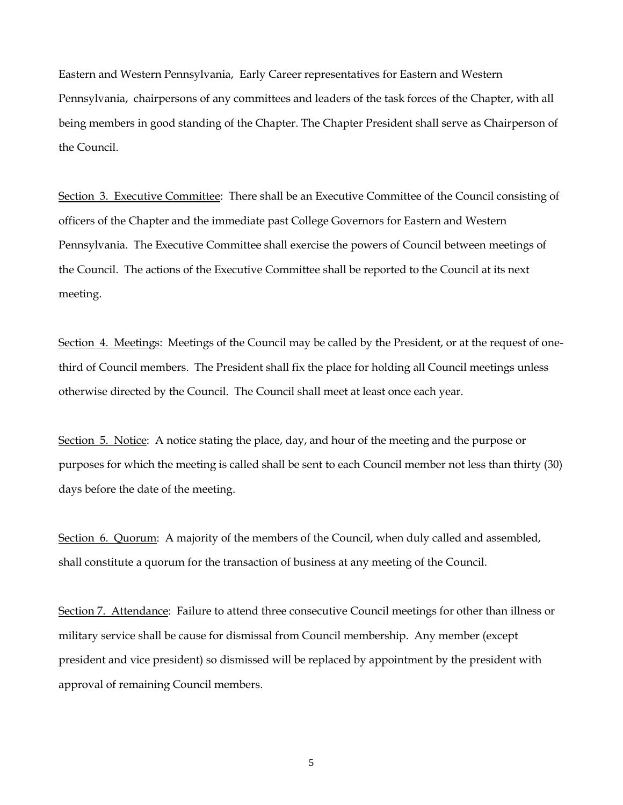Eastern and Western Pennsylvania, Early Career representatives for Eastern and Western Pennsylvania, chairpersons of any committees and leaders of the task forces of the Chapter, with all being members in good standing of the Chapter. The Chapter President shall serve as Chairperson of the Council.

Section 3. Executive Committee: There shall be an Executive Committee of the Council consisting of officers of the Chapter and the immediate past College Governors for Eastern and Western Pennsylvania. The Executive Committee shall exercise the powers of Council between meetings of the Council. The actions of the Executive Committee shall be reported to the Council at its next meeting.

Section 4. Meetings: Meetings of the Council may be called by the President, or at the request of onethird of Council members. The President shall fix the place for holding all Council meetings unless otherwise directed by the Council. The Council shall meet at least once each year.

Section 5. Notice: A notice stating the place, day, and hour of the meeting and the purpose or purposes for which the meeting is called shall be sent to each Council member not less than thirty (30) days before the date of the meeting.

Section 6. Quorum: A majority of the members of the Council, when duly called and assembled, shall constitute a quorum for the transaction of business at any meeting of the Council.

Section 7. Attendance: Failure to attend three consecutive Council meetings for other than illness or military service shall be cause for dismissal from Council membership. Any member (except president and vice president) so dismissed will be replaced by appointment by the president with approval of remaining Council members.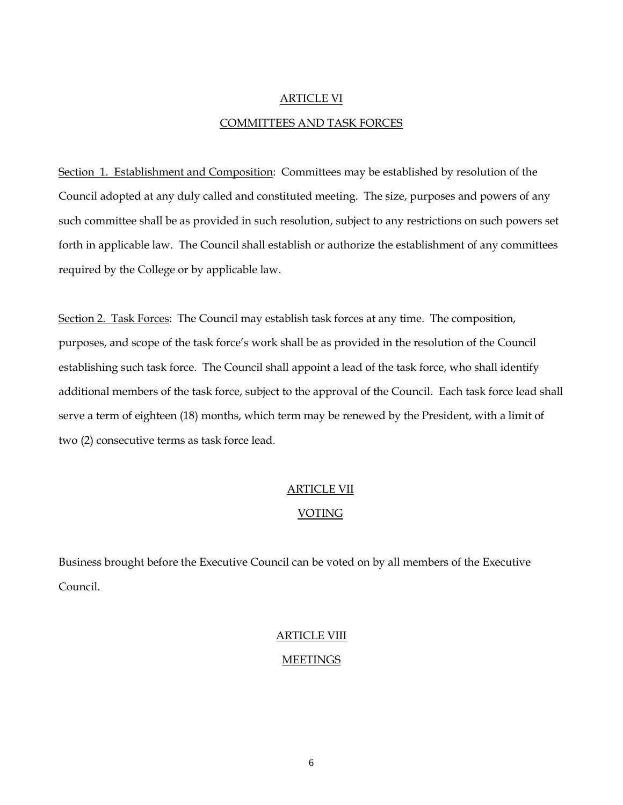# ARTICLE VI COMMITTEES AND TASK FORCES

Section 1. Establishment and Composition: Committees may be established by resolution of the Council adopted at any duly called and constituted meeting. The size, purposes and powers of any such committee shall be as provided in such resolution, subject to any restrictions on such powers set forth in applicable law. The Council shall establish or authorize the establishment of any committees required by the College or by applicable law.

Section 2. Task Forces: The Council may establish task forces at any time. The composition, purposes, and scope of the task force's work shall be as provided in the resolution of the Council establishing such task force. The Council shall appoint a lead of the task force, who shall identify additional members of the task force, subject to the approval of the Council. Each task force lead shall serve a term of eighteen (18) months, which term may be renewed by the President, with a limit of two (2) consecutive terms as task force lead.

# ARTICLE VII

# VOTING

Business brought before the Executive Council can be voted on by all members of the Executive Council.

# ARTICLE VIII

# **MEETINGS**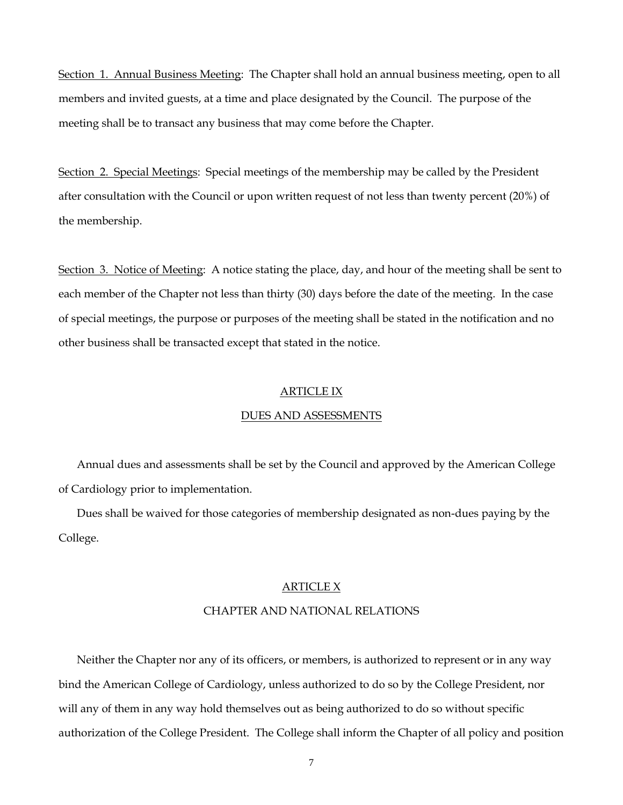Section 1. Annual Business Meeting: The Chapter shall hold an annual business meeting, open to all members and invited guests, at a time and place designated by the Council. The purpose of the meeting shall be to transact any business that may come before the Chapter.

Section 2. Special Meetings: Special meetings of the membership may be called by the President after consultation with the Council or upon written request of not less than twenty percent (20%) of the membership.

Section 3. Notice of Meeting: A notice stating the place, day, and hour of the meeting shall be sent to each member of the Chapter not less than thirty (30) days before the date of the meeting. In the case of special meetings, the purpose or purposes of the meeting shall be stated in the notification and no other business shall be transacted except that stated in the notice.

## ARTICLE IX

#### DUES AND ASSESSMENTS

Annual dues and assessments shall be set by the Council and approved by the American College of Cardiology prior to implementation.

Dues shall be waived for those categories of membership designated as non-dues paying by the College.

## ARTICLE X

## CHAPTER AND NATIONAL RELATIONS

Neither the Chapter nor any of its officers, or members, is authorized to represent or in any way bind the American College of Cardiology, unless authorized to do so by the College President, nor will any of them in any way hold themselves out as being authorized to do so without specific authorization of the College President. The College shall inform the Chapter of all policy and position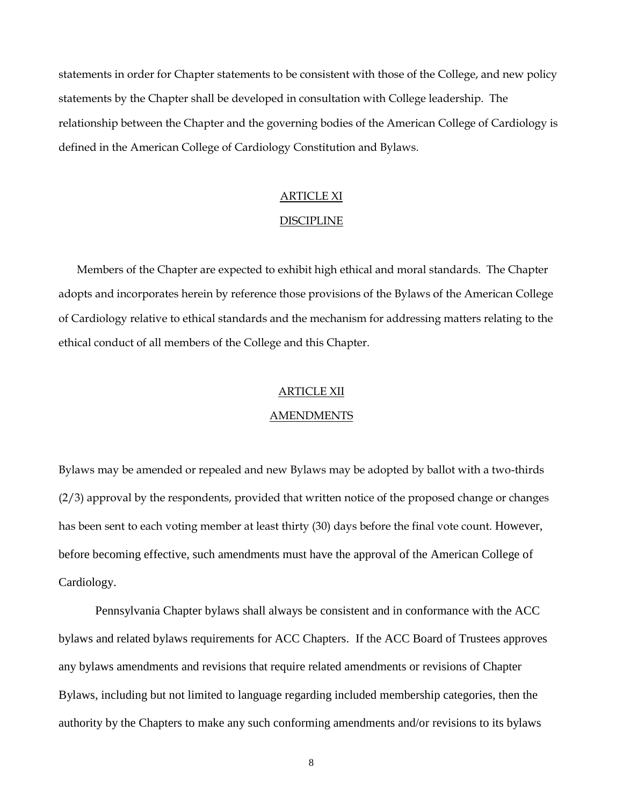statements in order for Chapter statements to be consistent with those of the College, and new policy statements by the Chapter shall be developed in consultation with College leadership. The relationship between the Chapter and the governing bodies of the American College of Cardiology is defined in the American College of Cardiology Constitution and Bylaws.

## ARTICLE XI

## DISCIPLINE

Members of the Chapter are expected to exhibit high ethical and moral standards. The Chapter adopts and incorporates herein by reference those provisions of the Bylaws of the American College of Cardiology relative to ethical standards and the mechanism for addressing matters relating to the ethical conduct of all members of the College and this Chapter.

#### ARTICLE XII

#### AMENDMENTS

Bylaws may be amended or repealed and new Bylaws may be adopted by ballot with a two-thirds (2/3) approval by the respondents, provided that written notice of the proposed change or changes has been sent to each voting member at least thirty (30) days before the final vote count. However, before becoming effective, such amendments must have the approval of the American College of Cardiology.

Pennsylvania Chapter bylaws shall always be consistent and in conformance with the ACC bylaws and related bylaws requirements for ACC Chapters. If the ACC Board of Trustees approves any bylaws amendments and revisions that require related amendments or revisions of Chapter Bylaws, including but not limited to language regarding included membership categories, then the authority by the Chapters to make any such conforming amendments and/or revisions to its bylaws